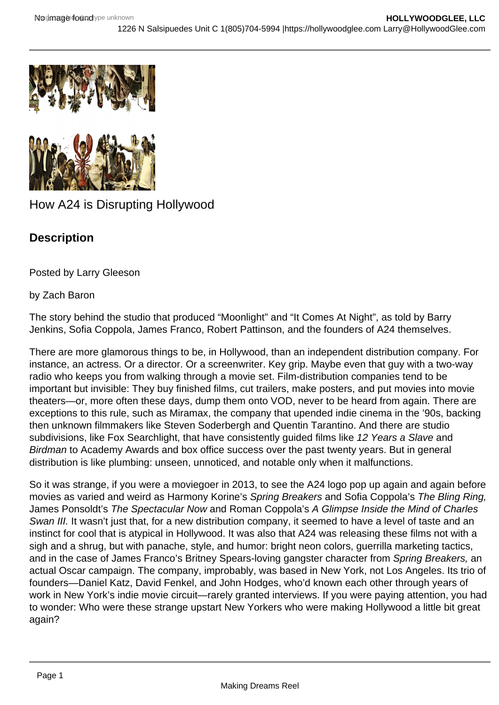



## How A24 is Disrupting Hollywood

## **Description**

Posted by Larry Gleeson

## by Zach Baron

The story behind the studio that produced "Moonlight" and "It Comes At Night", as told by Barry Jenkins, Sofia Coppola, James Franco, Robert Pattinson, and the founders of A24 themselves.

There are more glamorous things to be, in Hollywood, than an independent distribution company. For instance, an actress. Or a director. Or a screenwriter. Key grip. Maybe even that guy with a two-way radio who keeps you from walking through a movie set. Film-distribution companies tend to be important but invisible: They buy finished films, cut trailers, make posters, and put movies into movie theaters—or, more often these days, dump them onto VOD, never to be heard from again. There are exceptions to this rule, such as Miramax, the company that upended indie cinema in the '90s, backing then unknown filmmakers like Steven Soderbergh and Quentin Tarantino. And there are studio subdivisions, like Fox Searchlight, that have consistently guided films like 12 Years a Slave and Birdman to Academy Awards and box office success over the past twenty years. But in general distribution is like plumbing: unseen, unnoticed, and notable only when it malfunctions.

So it was strange, if you were a moviegoer in 2013, to see the A24 logo pop up again and again before movies as varied and weird as Harmony Korine's Spring Breakers and Sofia Coppola's The Bling Ring, James Ponsoldt's The Spectacular Now and Roman Coppola's A Glimpse Inside the Mind of Charles Swan III. It wasn't just that, for a new distribution company, it seemed to have a level of taste and an instinct for cool that is atypical in Hollywood. It was also that A24 was releasing these films not with a sigh and a shrug, but with panache, style, and humor: bright neon colors, guerrilla marketing tactics, and in the case of James Franco's Britney Spears-loving gangster character from Spring Breakers, an actual Oscar campaign. The company, improbably, was based in New York, not Los Angeles. Its trio of founders—Daniel Katz, David Fenkel, and John Hodges, who'd known each other through years of work in New York's indie movie circuit—rarely granted interviews. If you were paying attention, you had to wonder: Who were these strange upstart New Yorkers who were making Hollywood a little bit great again?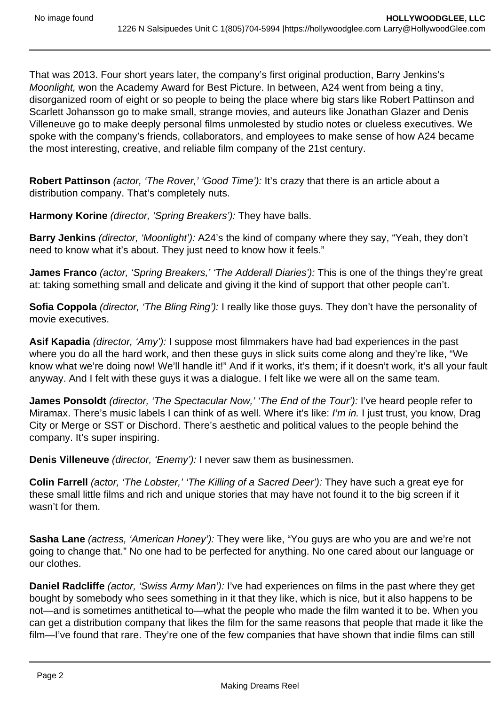That was 2013. Four short years later, the company's first original production, Barry Jenkins's Moonlight, won the Academy Award for Best Picture. In between, A24 went from being a tiny, disorganized room of eight or so people to being the place where big stars like Robert Pattinson and Scarlett Johansson go to make small, strange movies, and auteurs like Jonathan Glazer and Denis Villeneuve go to make deeply personal films unmolested by studio notes or clueless executives. We spoke with the company's friends, collaborators, and employees to make sense of how A24 became the most interesting, creative, and reliable film company of the 21st century.

Robert Pattinson *(actor, 'The Rover,' 'Good Time'):* It's crazy that there is an article about a distribution company. That's completely nuts.

**Harmony Korine** (director, 'Spring Breakers'): They have balls.

**Barry Jenkins** (director, 'Moonlight'): A24's the kind of company where they say, "Yeah, they don't need to know what it's about. They just need to know how it feels."

James Franco (actor, 'Spring Breakers,' 'The Adderall Diaries'): This is one of the things they're great at: taking something small and delicate and giving it the kind of support that other people can't.

**Sofia Coppola** (director, 'The Bling Ring'): I really like those guys. They don't have the personality of movie executives.

**Asif Kapadia** (director, 'Amy'): I suppose most filmmakers have had bad experiences in the past where you do all the hard work, and then these guys in slick suits come along and they're like, "We know what we're doing now! We'll handle it!" And if it works, it's them; if it doesn't work, it's all your fault anyway. And I felt with these guys it was a dialogue. I felt like we were all on the same team.

**James Ponsoldt** (director, 'The Spectacular Now,' 'The End of the Tour'): I've heard people refer to Miramax. There's music labels I can think of as well. Where it's like: I'm in. I just trust, you know, Drag City or Merge or SST or Dischord. There's aesthetic and political values to the people behind the company. It's super inspiring.

**Denis Villeneuve** (director, 'Enemy'): I never saw them as businessmen.

**Colin Farrell** (actor, 'The Lobster,' 'The Killing of a Sacred Deer'): They have such a great eye for these small little films and rich and unique stories that may have not found it to the big screen if it wasn't for them.

**Sasha Lane** (actress, 'American Honey'): They were like, "You guys are who you are and we're not going to change that." No one had to be perfected for anything. No one cared about our language or our clothes.

**Daniel Radcliffe** (actor, 'Swiss Army Man'): I've had experiences on films in the past where they get bought by somebody who sees something in it that they like, which is nice, but it also happens to be not—and is sometimes antithetical to—what the people who made the film wanted it to be. When you can get a distribution company that likes the film for the same reasons that people that made it like the film—I've found that rare. They're one of the few companies that have shown that indie films can still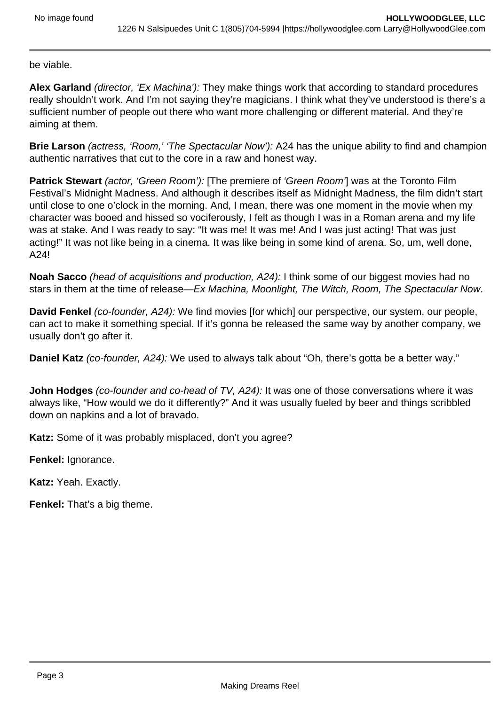be viable.

**Alex Garland** (director, 'Ex Machina'): They make things work that according to standard procedures really shouldn't work. And I'm not saying they're magicians. I think what they've understood is there's a sufficient number of people out there who want more challenging or different material. And they're aiming at them.

**Brie Larson** (actress, 'Room,' 'The Spectacular Now'): A24 has the unique ability to find and champion authentic narratives that cut to the core in a raw and honest way.

Patrick Stewart (actor, 'Green Room'): [The premiere of 'Green Room'] was at the Toronto Film Festival's Midnight Madness. And although it describes itself as Midnight Madness, the film didn't start until close to one o'clock in the morning. And, I mean, there was one moment in the movie when my character was booed and hissed so vociferously, I felt as though I was in a Roman arena and my life was at stake. And I was ready to say: "It was me! It was me! And I was just acting! That was just acting!" It was not like being in a cinema. It was like being in some kind of arena. So, um, well done, A24!

**Noah Sacco** (head of acquisitions and production, A24): I think some of our biggest movies had no stars in them at the time of release—Ex Machina, Moonlight, The Witch, Room, The Spectacular Now.

**David Fenkel** (co-founder, A24): We find movies [for which] our perspective, our system, our people, can act to make it something special. If it's gonna be released the same way by another company, we usually don't go after it.

**Daniel Katz** (co-founder, A24): We used to always talk about "Oh, there's gotta be a better way."

**John Hodges** (co-founder and co-head of TV, A24): It was one of those conversations where it was always like, "How would we do it differently?" And it was usually fueled by beer and things scribbled down on napkins and a lot of bravado.

**Katz:** Some of it was probably misplaced, don't you agree?

**Fenkel:** Ignorance.

**Katz:** Yeah. Exactly.

**Fenkel:** That's a big theme.